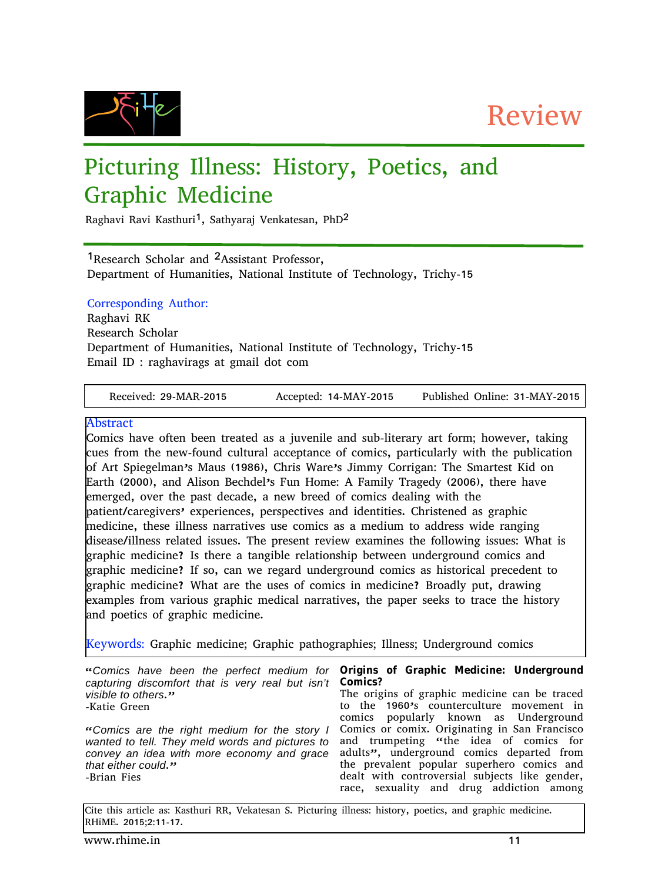Review



# Picturing Illness: History, Poetics, and Graphic Medicine

Raghavi Ravi Kasthuri<sup>1</sup>, Sathyaraj Venkatesan, PhD<sup>2</sup>

<sup>1</sup>Research Scholar and <sup>2</sup>Assistant Professor, Department of Humanities, National Institute of Technology, Trichy-15

### Corresponding Author:

Raghavi RK Research Scholar Department of Humanities, National Institute of Technology, Trichy-15 Email ID : raghavirags at gmail dot com

Received: 29-MAR-2015 Accepted: 14-MAY-2015 Published Online: 31-MAY-2015

#### Abstract

Comics have often been treated as a juvenile and sub-literary art form; however, taking cues from the new-found cultural acceptance of comics, particularly with the publication of Art Spiegelman's Maus (1986), Chris Ware's Jimmy Corrigan: The Smartest Kid on Earth (2000), and Alison Bechdel's Fun Home: A Family Tragedy (2006), there have emerged, over the past decade, a new breed of comics dealing with the patient/caregivers' experiences, perspectives and identities. Christened as graphic medicine, these illness narratives use comics as a medium to address wide ranging disease/illness related issues. The present review examines the following issues: What is graphic medicine? Is there a tangible relationship between underground comics and graphic medicine? If so, can we regard underground comics as historical precedent to graphic medicine? What are the uses of comics in medicine? Broadly put, drawing examples from various graphic medical narratives, the paper seeks to trace the history and poetics of graphic medicine.

Keywords: Graphic medicine; Graphic pathographies; Illness; Underground comics

"*Comics have been the perfect medium for* **Origins of Graphic Medicine: Underground** *capturing discomfort that is very real but isn't* **Comics?** *visible to others*."

-Katie Green

"*Comics are the right medium for the story I wanted to tell. They meld words and pictures to convey an idea with more economy and grace that either could*." -Brian Fies

The origins of graphic medicine can be traced to the 1960's counterculture movement in comics popularly known as Underground Comics or comix. Originating in San Francisco and trumpeting "the idea of comics for adults", underground comics departed from the prevalent popular superhero comics and dealt with controversial subjects like gender, race, sexuality and drug addiction among

Cite this article as: Kasthuri RR, Vekatesan S. Picturing illness: history, poetics, and graphic medicine. RHiME. 2015;2:11-17.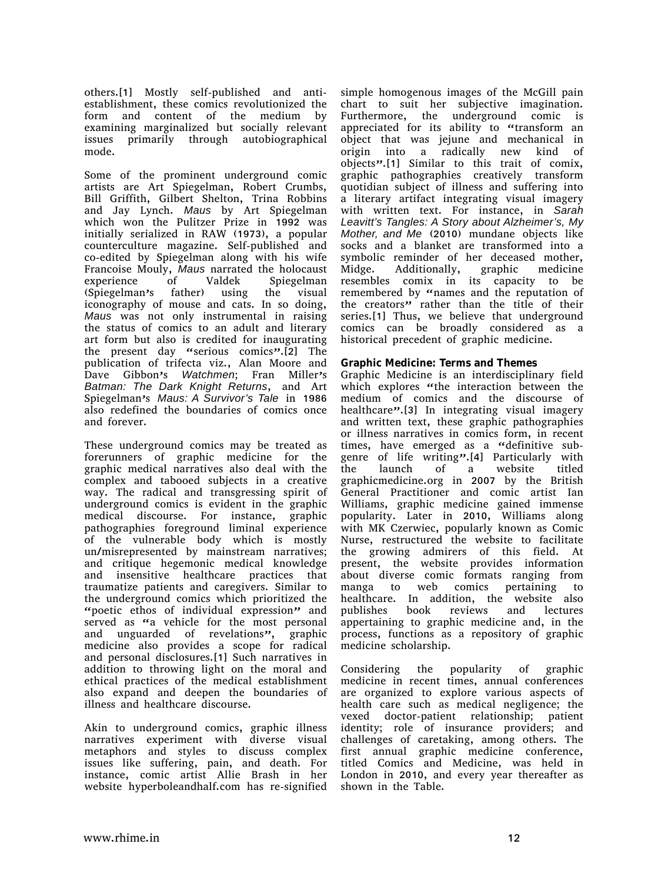others.[1] Mostly self-published and antiestablishment, these comics revolutionized the form and content of the medium by examining marginalized but socially relevant issues primarily through autobiographical mode.

Some of the prominent underground comic artists are Art Spiegelman, Robert Crumbs, Bill Griffith, Gilbert Shelton, Trina Robbins and Jay Lynch. *Maus* by Art Spiegelman which won the Pulitzer Prize in 1992 was initially serialized in RAW (1973), a popular counterculture magazine. Self-published and co-edited by Spiegelman along with his wife **Francoise Mouly, Maus narrated the holocaust experience of Valdek Spiegelman** experience of Valdek Spiegelman (Spiegelman's father) using the visual iconography of mouse and cats. In so doing, *Maus* was not only instrumental in raising the status of comics to an adult and literary art form but also is credited for inaugurating the present day "serious comics".[2] The publication of trifecta viz., Alan Moore and Dave Gibbon's *Watchmen*; Fran Miller's *Batman: The Dark Knight Returns*, and Art Spiegelman's *Maus: A Survivor's Tale* in 1986 also redefined the boundaries of comics once and forever.

These underground comics may be treated as forerunners of graphic medicine for the graphic medical narratives also deal with the complex and tabooed subjects in a creative way. The radical and transgressing spirit of underground comics is evident in the graphic medical discourse. For instance, graphic pathographies foreground liminal experience of the vulnerable body which is mostly un/misrepresented by mainstream narratives; and critique hegemonic medical knowledge and insensitive healthcare practices that traumatize patients and caregivers. Similar to the underground comics which prioritized the "poetic ethos of individual expression" and served as "a vehicle for the most personal and unguarded of revelations", graphic medicine also provides a scope for radical and personal disclosures.[1] Such narratives in addition to throwing light on the moral and ethical practices of the medical establishment also expand and deepen the boundaries of illness and healthcare discourse.

Akin to underground comics, graphic illness narratives experiment with diverse visual metaphors and styles to discuss complex issues like suffering, pain, and death. For instance, comic artist Allie Brash in her website hyperboleandhalf.com has re-signified

simple homogenous images of the McGill pain chart to suit her subjective imagination. Furthermore, the underground comic is appreciated for its ability to "transform an object that was jejune and mechanical in origin into a radically new kind of objects".[1] Similar to this trait of comix, graphic pathographies creatively transform quotidian subject of illness and suffering into a literary artifact integrating visual imagery with written text. For instance, in *Sarah Leavitt's Tangles: A Story about Alzheimer's, My Mother, and Me* (2010) mundane objects like socks and a blanket are transformed into a symbolic reminder of her deceased mother, Midge. Additionally, graphic medicine resembles comix in its capacity to be remembered by "names and the reputation of the creators" rather than the title of their series.[1] Thus, we believe that underground comics can be broadly considered as a historical precedent of graphic medicine.

#### **Graphic Medicine: Terms and Themes**

Graphic Medicine is an interdisciplinary field which explores "the interaction between the medium of comics and the discourse of healthcare".[3] In integrating visual imagery and written text, these graphic pathographies or illness narratives in comics form, in recent times, have emerged as a "definitive subgenre of life writing".[4] Particularly with the launch of a website titled graphicmedicine.org in 2007 by the British General Practitioner and comic artist Ian Williams, graphic medicine gained immense popularity. Later in 2010, Williams along with MK Czerwiec, popularly known as Comic Nurse, restructured the website to facilitate the growing admirers of this field. At present, the website provides information about diverse comic formats ranging from manga to web comics pertaining to healthcare. In addition, the website also publishes book reviews and lectures appertaining to graphic medicine and, in the process, functions as a repository of graphic medicine scholarship.

Considering the popularity of graphic medicine in recent times, annual conferences are organized to explore various aspects of health care such as medical negligence; the vexed doctor-patient relationship; patient identity; role of insurance providers; and challenges of caretaking, among others. The first annual graphic medicine conference, titled Comics and Medicine, was held in London in 2010, and every year thereafter as shown in the Table.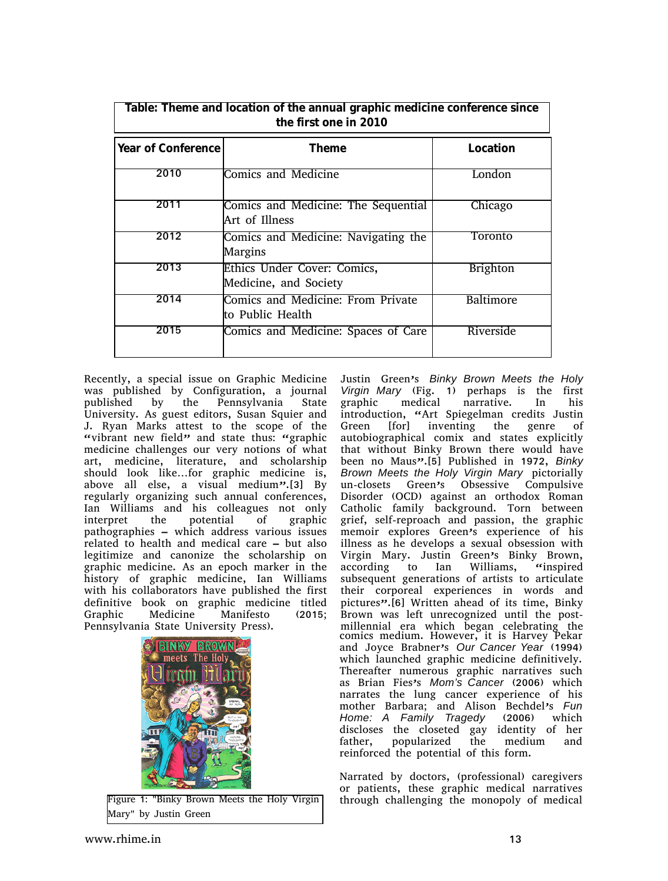| able: Theme and location of the annual graphic medicine conference since<br>the first one in 2010 |                                                        |                 |
|---------------------------------------------------------------------------------------------------|--------------------------------------------------------|-----------------|
| Year of Conference                                                                                | Theme                                                  | Location        |
| 2010                                                                                              | <b>Comics and Medicine</b>                             | London          |
| 2011                                                                                              | Comics and Medicine: The Sequential<br>lArt of Illness | Chicago         |
| 2012                                                                                              | Comics and Medicine: Navigating the<br>Margins         | Toronto         |
| 2013                                                                                              | Ethics Under Cover: Comics,<br>Medicine, and Society   | <b>Brighton</b> |
| 2014                                                                                              | Comics and Medicine: From Private<br>lto Public Health | Baltimore       |
| 2015                                                                                              | Comics and Medicine: Spaces of Care                    | Riverside       |

Recently, a special issue on Graphic Medicine was published by Configuration, a journal published by the Pennsylvania State University. As guest editors, Susan Squier and J. Ryan Marks attest to the scope of the "vibrant new field" and state thus: "graphic medicine challenges our very notions of what art, medicine, literature, and scholarship should look like…for graphic medicine is, above all else, a visual medium".[3] By regularly organizing such annual conferences, Ian Williams and his colleagues not only<br>interpret the potential of graphic interpret the potential of pathographies – which address various issues related to health and medical care – but also legitimize and canonize the scholarship on graphic medicine. As an epoch marker in the history of graphic medicine, Ian Williams with his collaborators have published the first definitive book on graphic medicine titled Graphic Medicine Manifesto (2015; Pennsylvania State University Press).



Figure 1: "Binky Brown Meets the Holy Virgin Mary" by Justin Green

Justin Green's *Binky Brown Meets the Holy Virgin Mary* (Fig. 1) perhaps is the first graphic medical narrative. In his introduction, "Art Spiegelman credits Justin Green [for] inventing the genre of autobiographical comix and states explicitly that without Binky Brown there would have been no Maus".[5] Published in 1972, *Binky Brown Meets the Holy Virgin Mary* pictorially un-closets Green's Obsessive Compulsive Disorder (OCD) against an orthodox Roman Catholic family background. Torn between grief, self-reproach and passion, the graphic memoir explores Green's experience of his illness as he develops a sexual obsession with Virgin Mary. Justin Green's Binky Brown, according to Ian Williams, "inspired subsequent generations of artists to articulate their corporeal experiences in words and pictures".<sup>[6]</sup> Written ahead of its time, Binky Brown was left unrecognized until the postmillennial era which began celebrating the comics medium. However, it is Harvey Pekar and Joyce Brabner's *Our Cancer Year* (1994) which launched graphic medicine definitively. Thereafter numerous graphic narratives such as Brian Fies's *Mom's Cancer* (2006) which narrates the lung cancer experience of his mother Barbara; and Alison Bechdel's *Fun Home: A Family Tragedy* (2006) which discloses the closeted gay identity of her father, popularized the medium and reinforced the potential of this form.

Narrated by doctors, (professional) caregivers or patients, these graphic medical narratives through challenging the monopoly of medical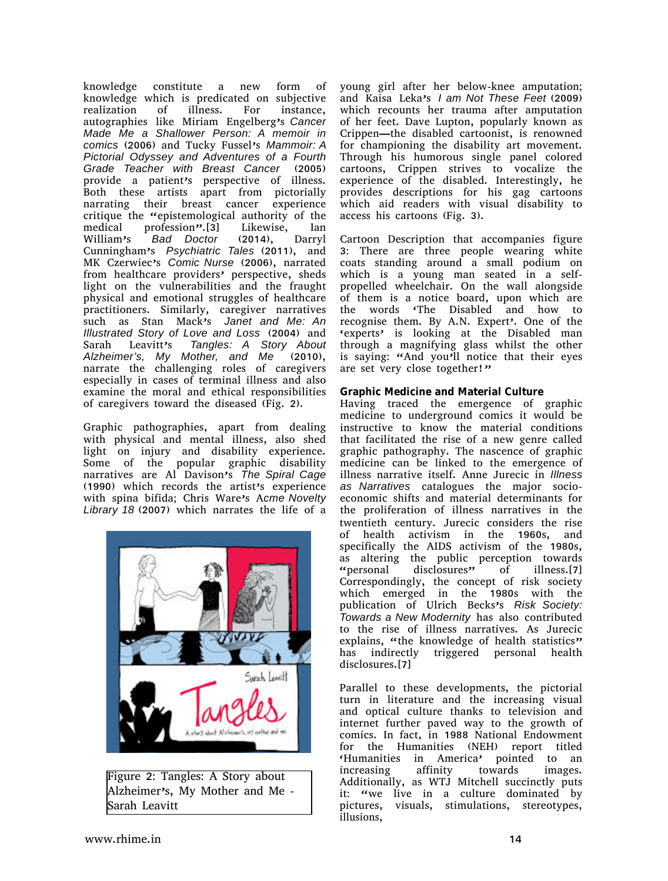knowledge constitute a new form of knowledge which is predicated on subjective realization of illness. For instance, autographies like Miriam Engelberg's *Cancer Made Me a Shallower Person: A memoir in comics* (2006) and Tucky Fussel's *Mammoir: A Pictorial Odyssey and Adventures of a Fourth Grade Teacher with Breast Cancer* (2005) provide a patient's perspective of illness. Both these artists apart from pictorially narrating their breast cancer experience critique the "epistemological authority of the medical profession".[3] Likewise, Ian William's *Bad Doctor* (2014), Darryl Cunningham's *Psychiatric Tales* (2011), and MK Czerwiec's *Comic Nurse* (2006), narrated from healthcare providers' perspective, sheds light on the vulnerabilities and the fraught physical and emotional struggles of healthcare practitioners. Similarly, caregiver narratives such as Stan Mack's *Janet and Me: An Illustrated Story of Love and Loss* (2004) and Sarah Leavitt's *Tangles: A Story About Alzheimer's, My Mother, and Me* (2010), narrate the challenging roles of caregivers especially in cases of terminal illness and also examine the moral and ethical responsibilities of caregivers toward the diseased (Fig. 2).

Graphic pathographies, apart from dealing with physical and mental illness, also shed light on injury and disability experience. Some of the popular graphic disability narratives are Al Davison's *The Spiral Cage* (1990) which records the artist's experience with spina bifida; Chris Ware's A*cme Novelty Library 18* (2007) which narrates the life of a



Figure 2: Tangles: A Story about Alzheimer's, My Mother and Me - Sarah Leavitt

young girl after her below-knee amputation; and Kaisa Leka's *I am Not These Feet* (2009) which recounts her trauma after amputation of her feet. Dave Lupton, popularly known as Crippen—the disabled cartoonist, is renowned for championing the disability art movement. Through his humorous single panel colored cartoons, Crippen strives to vocalize the experience of the disabled. Interestingly, he provides descriptions for his gag cartoons which aid readers with visual disability to access his cartoons (Fig. 3).

Cartoon Description that accompanies figure 3: There are three people wearing white coats standing around a small podium on which is a young man seated in a selfpropelled wheelchair. On the wall alongside of them is a notice board, upon which are the words 'The Disabled and how to recognise them. By A.N. Expert'. One of the 'experts' is looking at the Disabled man through a magnifying glass whilst the other is saying: "And you'll notice that their eyes are set very close together!"

**Graphic Medicine and Material Culture**

Having traced the emergence of graphic medicine to underground comics it would be instructive to know the material conditions that facilitated the rise of a new genre called graphic pathography. The nascence of graphic medicine can be linked to the emergence of illness narrative itself. Anne Jurecic in *Illness as Narratives* catalogues the major socioeconomic shifts and material determinants for the proliferation of illness narratives in the twentieth century. Jurecic considers the rise of health activism in the 1960s, and specifically the AIDS activism of the 1980s, as altering the public perception towards "personal disclosures" of illness.[7] Correspondingly, the concept of risk society which emerged in the 1980s with the publication of Ulrich Becks's *Risk Society: Towards a New Modernity* has also contributed to the rise of illness narratives. As Jurecic explains, "the knowledge of health statistics" has indirectly triggered personal health disclosures.[7]

Parallel to these developments, the pictorial turn in literature and the increasing visual and optical culture thanks to television and internet further paved way to the growth of comics. In fact, in 1988 National Endowment for the Humanities (NEH) report titled 'Humanities in America' pointed to an increasing affinity towards images. Additionally, as WTJ Mitchell succinctly puts it: "we live in a culture dominated by pictures, visuals, stimulations, stereotypes, illusions,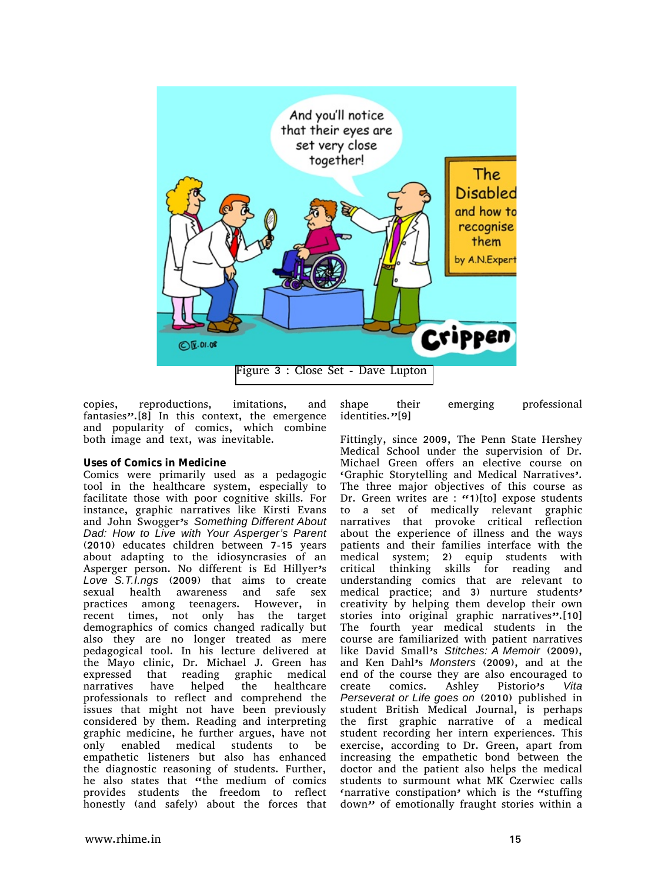

copies, reproductions, imitations, and fantasies".[8] In this context, the emergence and popularity of comics, which combine both image and text, was inevitable.

#### **Uses of Comics in Medicine**

Comics were primarily used as a pedagogic tool in the healthcare system, especially to facilitate those with poor cognitive skills. For instance, graphic narratives like Kirsti Evans and John Swogger's *Something Different About Dad: How to Live with Your Asperger's Parent* (2010) educates children between 7-15 years about adapting to the idiosyncrasies of an Asperger person. No different is Ed Hillyer's *Love S.T.I.ngs* (2009) that aims to create sexual health awareness and safe sex practices among teenagers. However, in recent times, not only has the target demographics of comics changed radically but also they are no longer treated as mere pedagogical tool. In his lecture delivered at the Mayo clinic, Dr. Michael J. Green has expressed that reading graphic medical narratives have helped the healthcare professionals to reflect and comprehend the issues that might not have been previously considered by them. Reading and interpreting graphic medicine, he further argues, have not only enabled medical students to be empathetic listeners but also has enhanced the diagnostic reasoning of students. Further, he also states that "the medium of comics provides students the freedom to reflect honestly (and safely) about the forces that

shape their emerging professional identities."[9]

Fittingly, since 2009, The Penn State Hershey Medical School under the supervision of Dr. Michael Green offers an elective course on 'Graphic Storytelling and Medical Narratives'. The three major objectives of this course as Dr. Green writes are : "1)[to] expose students to a set of medically relevant graphic narratives that provoke critical reflection about the experience of illness and the ways patients and their families interface with the medical system; 2) equip students with critical thinking skills for reading and understanding comics that are relevant to medical practice; and 3) nurture students' creativity by helping them develop their own stories into original graphic narratives".[10] The fourth year medical students in the course are familiarized with patient narratives like David Small's *Stitches: A Memoir* (2009), and Ken Dahl's *Monsters* (2009), and at the end of the course they are also encouraged to create comics. Ashley Pistorio's *Vita Perseverat or Life goes on* (2010) published in student British Medical Journal, is perhaps the first graphic narrative of a medical student recording her intern experiences. This exercise, according to Dr. Green, apart from increasing the empathetic bond between the doctor and the patient also helps the medical students to surmount what MK Czerwiec calls 'narrative constipation' which is the "stuffing down" of emotionally fraught stories within a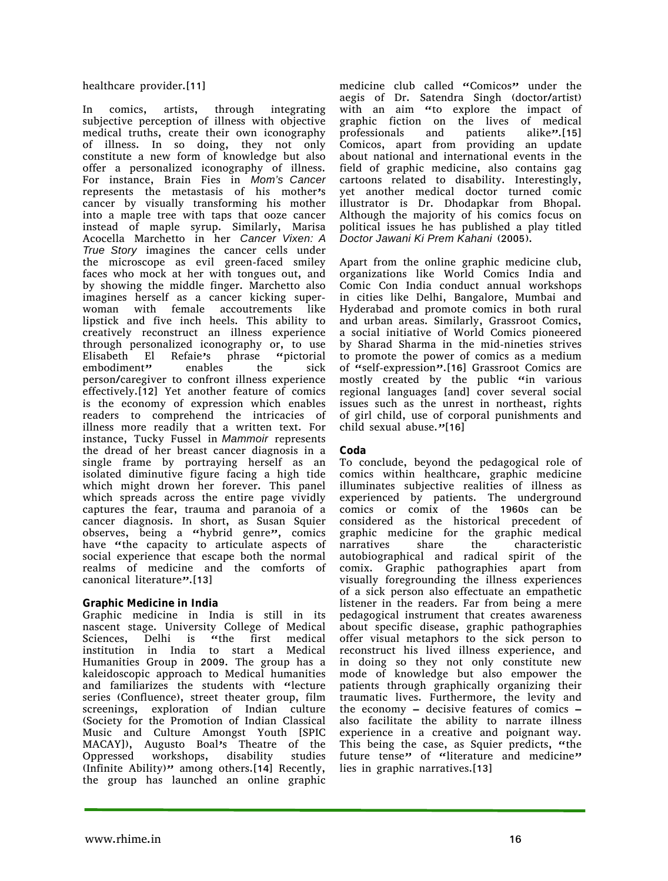healthcare provider.[11]

In comics, artists, through integrating subjective perception of illness with objective medical truths, create their own iconography of illness. In so doing, they not only constitute a new form of knowledge but also offer a personalized iconography of illness. For instance, Brain Fies in *Mom's Cancer* represents the metastasis of his mother's cancer by visually transforming his mother into a maple tree with taps that ooze cancer instead of maple syrup. Similarly, Marisa Acocella Marchetto in her *Cancer Vixen: A True Story* imagines the cancer cells under the microscope as evil green-faced smiley faces who mock at her with tongues out, and by showing the middle finger. Marchetto also imagines herself as a cancer kicking superwoman with female accoutrements like lipstick and five inch heels. This ability to creatively reconstruct an illness experience through personalized iconography or, to use Elisabeth El Refaie's phrase "pictorial embodiment" enables the sick person/caregiver to confront illness experience effectively.[12] Yet another feature of comics is the economy of expression which enables readers to comprehend the intricacies of illness more readily that a written text. For instance, Tucky Fussel in *Mammoir* represents the dread of her breast cancer diagnosis in a single frame by portraying herself as an isolated diminutive figure facing a high tide which might drown her forever. This panel which spreads across the entire page vividly captures the fear, trauma and paranoia of a cancer diagnosis. In short, as Susan Squier observes, being a "hybrid genre", comics have "the capacity to articulate aspects of social experience that escape both the normal realms of medicine and the comforts of canonical literature".[13]

## **Graphic Medicine in India**

Graphic medicine in India is still in its nascent stage. University College of Medical Sciences, Delhi is "the first medical institution in India to start a Medical Humanities Group in 2009. The group has a kaleidoscopic approach to Medical humanities and familiarizes the students with "lecture series (Confluence), street theater group, film screenings, exploration of Indian culture (Society for the Promotion of Indian Classical Music and Culture Amongst Youth [SPIC MACAY]), Augusto Boal's Theatre of the Oppressed workshops, disability studies (Infinite Ability)" among others.[14] Recently, the group has launched an online graphic

medicine club called "Comicos" under the aegis of Dr. Satendra Singh (doctor/artist) with an aim "to explore the impact of graphic fiction on the lives of medical professionals and patients alike".[15] Comicos, apart from providing an update about national and international events in the field of graphic medicine, also contains gag cartoons related to disability. Interestingly, yet another medical doctor turned comic illustrator is Dr. Dhodapkar from Bhopal. Although the majority of his comics focus on political issues he has published a play titled *Doctor Jawani Ki Prem Kahani* (2005).

Apart from the online graphic medicine club, organizations like World Comics India and Comic Con India conduct annual workshops in cities like Delhi, Bangalore, Mumbai and Hyderabad and promote comics in both rural and urban areas. Similarly, Grassroot Comics, a social initiative of World Comics pioneered by Sharad Sharma in the mid-nineties strives to promote the power of comics as a medium of "self-expression".[16] Grassroot Comics are mostly created by the public "in various regional languages [and] cover several social issues such as the unrest in northeast, rights of girl child, use of corporal punishments and child sexual abuse."[16]

#### **Coda**

To conclude, beyond the pedagogical role of comics within healthcare, graphic medicine illuminates subjective realities of illness as experienced by patients. The underground comics or comix of the 1960s can be considered as the historical precedent of graphic medicine for the graphic medical narratives share the characteristic autobiographical and radical spirit of the comix. Graphic pathographies apart from visually foregrounding the illness experiences of a sick person also effectuate an empathetic listener in the readers. Far from being a mere pedagogical instrument that creates awareness about specific disease, graphic pathographies offer visual metaphors to the sick person to reconstruct his lived illness experience, and in doing so they not only constitute new mode of knowledge but also empower the patients through graphically organizing their traumatic lives. Furthermore, the levity and the economy – decisive features of comics – also facilitate the ability to narrate illness experience in a creative and poignant way. This being the case, as Squier predicts, "the future tense" of "literature and medicine" lies in graphic narratives.[13]